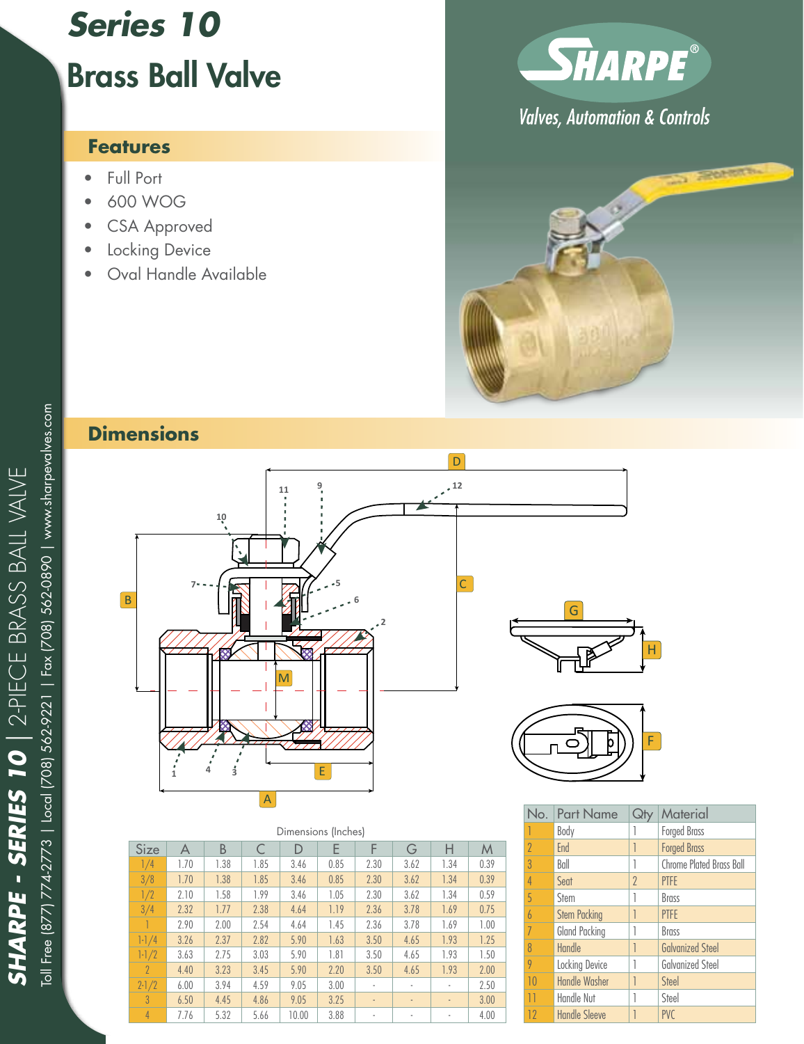## *Series 10* Brass Ball Valve

## **Features**

- Full Port
- • 600 WOG
- CSA Approved
- Locking Device
- Oval Handle Available



**Valves, Automation & Controls** 



## **Dimensions**



| Dimensions (Inches) |      |      |      |       |        |      |                          |                          |      |
|---------------------|------|------|------|-------|--------|------|--------------------------|--------------------------|------|
| Size                | A    | B    |      | D     | F<br>E |      | G                        | Н                        | M    |
| 1/4                 | 1.70 | 1.38 | 1.85 | 3.46  | 0.85   | 2.30 | 3.62                     | 1.34                     | 0.39 |
| 3/8                 | 1.70 | 1.38 | 1.85 | 3.46  | 0.85   | 2.30 | 3.62                     | 1.34                     | 0.39 |
| 1/2                 | 2.10 | 1.58 | 1.99 | 3.46  | 1.05   | 2.30 | 3.62                     | 1.34                     | 0.59 |
| 3/4                 | 2.32 | 1.77 | 2.38 | 4.64  | 1.19   | 2.36 | 3.78                     | 1.69                     | 0.75 |
|                     | 2.90 | 2.00 | 2.54 | 4.64  | 1.45   | 2.36 | 3.78                     | 1.69                     | 1.00 |
| $1 - 1/4$           | 3.26 | 2.37 | 2.82 | 5.90  | 1.63   | 3.50 | 4.65                     | 1.93                     | 1.25 |
| $1 - 1/2$           | 3.63 | 2.75 | 3.03 | 5.90  | 1.81   | 3.50 | 4.65                     | 1.93                     | 1.50 |
| $\overline{2}$      | 4.40 | 3.23 | 3.45 | 5.90  | 2.20   | 3.50 | 4.65                     | 1.93                     | 2.00 |
| $2 - 1/2$           | 6.00 | 3.94 | 4.59 | 9.05  | 3.00   | ٠    | ٠                        | ä,                       | 2.50 |
| $\mathcal{S}$       | 6.50 | 4.45 | 4.86 | 9.05  | 3.25   | ٠    | $\overline{\phantom{a}}$ | $\overline{\phantom{a}}$ | 3.00 |
| $\overline{4}$      | 7.76 | 5.32 | 5.66 | 10.00 | 3.88   | ٠    |                          | ä,                       | 4.00 |

| F              |                     |                |                          |  |  |  |  |  |  |  |
|----------------|---------------------|----------------|--------------------------|--|--|--|--|--|--|--|
| No.            | <b>Part Name</b>    | Qł             | Material                 |  |  |  |  |  |  |  |
|                | Body                |                | <b>Forged Brass</b>      |  |  |  |  |  |  |  |
| $\overline{2}$ | End                 |                | <b>Forged Brass</b>      |  |  |  |  |  |  |  |
| $\overline{3}$ | Ball                |                | Chrome Plated Brass Ball |  |  |  |  |  |  |  |
| $\overline{4}$ | Seat                | $\overline{2}$ | <b>PTFE</b>              |  |  |  |  |  |  |  |
| 5              | Stem                |                | <b>Brass</b>             |  |  |  |  |  |  |  |
| $\overline{6}$ | <b>Stem Packing</b> |                | <b>PTFE</b>              |  |  |  |  |  |  |  |
|                |                     |                |                          |  |  |  |  |  |  |  |

| h. | <b>Stem</b>          | <b>Brass</b>            |
|----|----------------------|-------------------------|
| 6  | <b>Stem Packing</b>  | <b>PTFE</b>             |
| 7  | Gland Packing        | <b>Brass</b>            |
| 8  | Handle               | <b>Galvanized Steel</b> |
| 9  | Locking Device       | <b>Galvanized Steel</b> |
| 10 | <b>Handle Washer</b> | Steel                   |
| 11 | Handle Nut           | Steel                   |
| 12 | <b>Handle Sleeve</b> | <b>PVC</b>              |

H